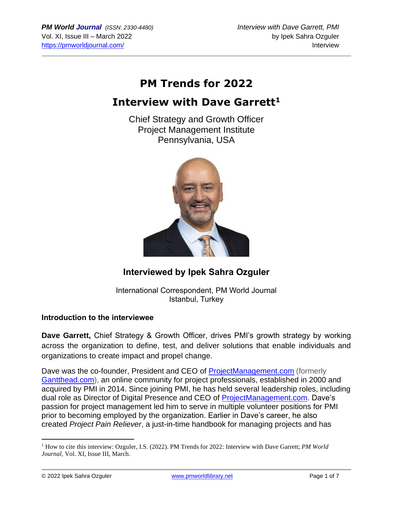# **PM Trends for 2022**

## **Interview with Dave Garrett<sup>1</sup>**

Chief Strategy and Growth Officer Project Management Institute Pennsylvania, USA



## **Interviewed by Ipek Sahra Ozguler**

International Correspondent, PM World Journal Istanbul, Turkey

#### **Introduction to the interviewee**

**Dave Garrett,** Chief Strategy & Growth Officer, drives PMI's growth strategy by working across the organization to define, test, and deliver solutions that enable individuals and organizations to create impact and propel change.

Dave was the co-founder, President and CEO of [ProjectManagement.com](https://www.projectmanagement.com/default.cfm) (formerly [Gantthead.com\)](https://www.projectmanagement.com/#redirect), an online community for project professionals, established in 2000 and acquired by PMI in 2014. Since joining PMI, he has held several leadership roles, including dual role as Director of Digital Presence and CEO of [ProjectManagement.com.](https://www.projectmanagement.com/default.cfm) Dave's passion for project management led him to serve in multiple volunteer positions for PMI prior to becoming employed by the organization. Earlier in Dave's career, he also created *Project Pain Reliever*, a just-in-time handbook for managing projects and has

<sup>1</sup> How to cite this interview: Ozguler, I.S. (2022). PM Trends for 2022: Interview with Dave Garrett; *PM World Journal*, Vol. XI, Issue III, March.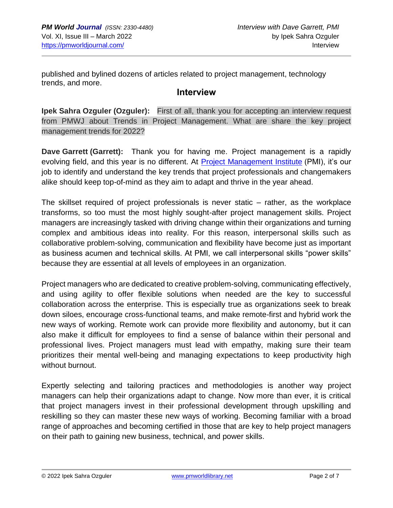published and bylined dozens of articles related to project management, technology trends, and more.

#### **Interview**

**Ipek Sahra Ozguler (Ozguler):** First of all, thank you for accepting an interview request from PMWJ about Trends in Project Management. What are share the key project management trends for 2022?

**Dave Garrett (Garrett):** Thank you for having me. Project management is a rapidly evolving field, and this year is no different. At **Project Management Institute** (PMI), it's our job to identify and understand the key trends that project professionals and changemakers alike should keep top-of-mind as they aim to adapt and thrive in the year ahead.

The skillset required of project professionals is never static – rather, as the workplace transforms, so too must the most highly sought-after project management skills. Project managers are increasingly tasked with driving change within their organizations and turning complex and ambitious ideas into reality. For this reason, interpersonal skills such as collaborative problem-solving, communication and flexibility have become just as important as business acumen and technical skills. At PMI, we call interpersonal skills "power skills" because they are essential at all levels of employees in an organization.

Project managers who are dedicated to creative problem-solving, communicating effectively, and using agility to offer flexible solutions when needed are the key to successful collaboration across the enterprise. This is especially true as organizations seek to break down siloes, encourage cross-functional teams, and make remote-first and hybrid work the new ways of working. Remote work can provide more flexibility and autonomy, but it can also make it difficult for employees to find a sense of balance within their personal and professional lives. Project managers must lead with empathy, making sure their team prioritizes their mental well-being and managing expectations to keep productivity high without burnout.

Expertly selecting and tailoring practices and methodologies is another way project managers can help their organizations adapt to change. Now more than ever, it is critical that project managers invest in their professional development through upskilling and reskilling so they can master these new ways of working. Becoming familiar with a broad range of approaches and becoming certified in those that are key to help project managers on their path to gaining new business, technical, and power skills.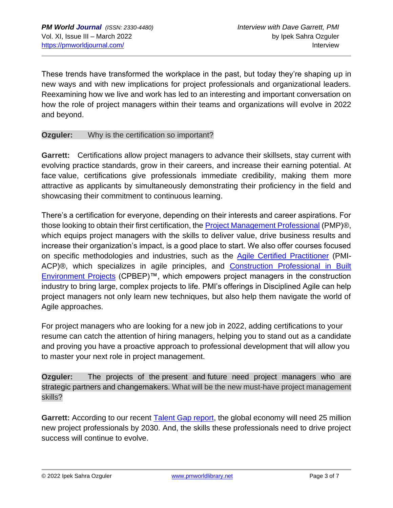These trends have transformed the workplace in the past, but today they're shaping up in new ways and with new implications for project professionals and organizational leaders. Reexamining how we live and work has led to an interesting and important conversation on how the role of project managers within their teams and organizations will evolve in 2022 and beyond.

#### **Ozguler:** Why is the certification so important?

**Garrett:** Certifications allow project managers to advance their skillsets, stay current with evolving practice standards, grow in their careers, and increase their earning potential. At face value, certifications give professionals immediate credibility, making them more attractive as applicants by simultaneously demonstrating their proficiency in the field and showcasing their commitment to continuous learning.

There's a certification for everyone, depending on their interests and career aspirations. For those looking to obtain their first certification, the **[Project Management Professional](https://www.pmi.org/certifications/project-management-pmp)** (PMP)<sup>®</sup>, which equips project managers with the skills to deliver value, drive business results and increase their organization's impact, is a good place to start. We also offer courses focused on specific methodologies and industries, such as the [Agile Certified Practitioner](https://www.pmi.org/certifications/agile-acp) (PMI-ACP)®, which specializes in agile principles, and [Construction Professional in Built](https://www.pmi.org/certifications/construction)  [Environment Projects](https://www.pmi.org/certifications/construction) (CPBEP)™, which empowers project managers in the construction industry to bring large, complex projects to life. PMI's offerings in Disciplined Agile can help project managers not only learn new techniques, but also help them navigate the world of Agile approaches.

For project managers who are looking for a new job in 2022, adding certifications to your resume can catch the attention of hiring managers, helping you to stand out as a candidate and proving you have a proactive approach to professional development that will allow you to master your next role in project management.

**Ozguler:** The projects of the present and future need project managers who are strategic partners and changemakers. What will be the new must-have project management skills?

**Garrett:** According to our recent [Talent Gap report,](https://www.pmi.org/learning/careers/talent-gap-2021) the global economy will need 25 million new project professionals by 2030. And, the skills these professionals need to drive project success will continue to evolve.

© 2022 Ipek Sahra Ozguler www.pmworldlibrary.net www.pmworldlibrary.net Page 3 of 7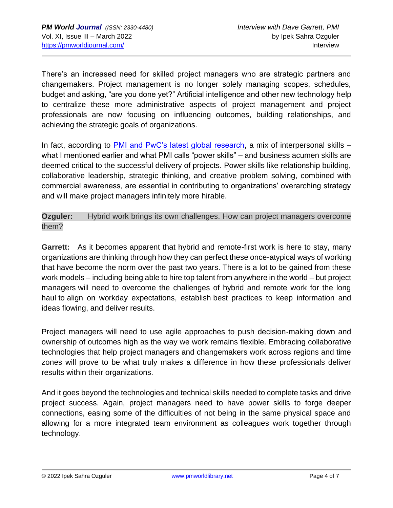There's an increased need for skilled project managers who are strategic partners and changemakers. Project management is no longer solely managing scopes, schedules, budget and asking, "are you done yet?" Artificial intelligence and other new technology help to centralize these more administrative aspects of project management and project professionals are now focusing on influencing outcomes, building relationships, and achieving the strategic goals of organizations.

In fact, according to [PMI and PwC's latest global research,](https://www.pmi.org/learning/thought-leadership/narrowing-the-talent-gap) a mix of interpersonal skills – what I mentioned earlier and what PMI calls "power skills" – and business acumen skills are deemed critical to the successful delivery of projects. Power skills like relationship building, collaborative leadership, strategic thinking, and creative problem solving, combined with commercial awareness, are essential in contributing to organizations' overarching strategy and will make project managers infinitely more hirable.

**Ozguler:** Hybrid work brings its own challenges. How can project managers overcome them?

**Garrett:** As it becomes apparent that hybrid and remote-first work is here to stay, many organizations are thinking through how they can perfect these once-atypical ways of working that have become the norm over the past two years. There is a lot to be gained from these work models – including being able to hire top talent from anywhere in the world – but project managers will need to overcome the challenges of hybrid and remote work for the long haul to align on workday expectations, establish best practices to keep information and ideas flowing, and deliver results.

Project managers will need to use agile approaches to push decision-making down and ownership of outcomes high as the way we work remains flexible. Embracing collaborative technologies that help project managers and changemakers work across regions and time zones will prove to be what truly makes a difference in how these professionals deliver results within their organizations.

And it goes beyond the technologies and technical skills needed to complete tasks and drive project success. Again, project managers need to have power skills to forge deeper connections, easing some of the difficulties of not being in the same physical space and allowing for a more integrated team environment as colleagues work together through technology.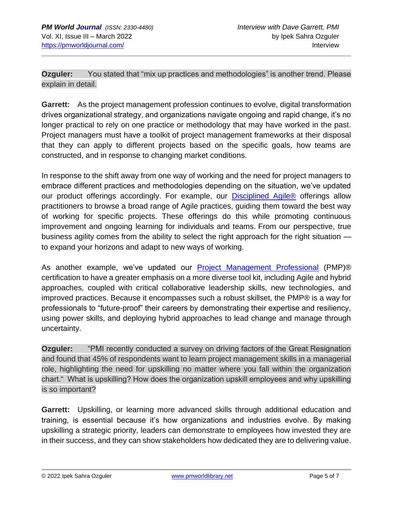**Ozguler:** You stated that "mix up practices and methodologies" is another trend. Please explain in detail.

**Garrett:** As the project management profession continues to evolve, digital transformation drives organizational strategy, and organizations navigate ongoing and rapid change, it's no longer practical to rely on one practice or methodology that may have worked in the past. Project managers must have a toolkit of project management frameworks at their disposal that they can apply to different projects based on the specific goals, how teams are constructed, and in response to changing market conditions.

In response to the shift away from one way of working and the need for project managers to embrace different practices and methodologies depending on the situation, we've updated our product offerings accordingly. For example, our **[Disciplined Agile®](https://www.pmi.org/disciplined-agile)** offerings allow practitioners to browse a broad range of Agile practices, guiding them toward the best way of working for specific projects. These offerings do this while promoting continuous improvement and ongoing learning for individuals and teams. From our perspective, true business agility comes from the ability to select the right approach for the right situation to expand your horizons and adapt to new ways of working.

As another example, we've updated our **[Project Management Professional](https://www.pmi.org/certifications/project-management-pmp)** (PMP)<sup>®</sup> certification to have a greater emphasis on a more diverse tool kit, including Agile and hybrid approaches, coupled with critical collaborative leadership skills, new technologies, and improved practices. Because it encompasses such a robust skillset, the PMP® is a way for professionals to "future-proof" their careers by demonstrating their expertise and resiliency, using power skills, and deploying hybrid approaches to lead change and manage through uncertainty.

**Ozguler:** "PMI recently conducted a survey on driving factors of the Great Resignation and found that 45% of respondents want to learn project management skills in a managerial role, highlighting the need for upskilling no matter where you fall within the organization chart." What is upskilling? How does the organization upskill employees and why upskilling is so important?

**Garrett:** Upskilling, or learning more advanced skills through additional education and training, is essential because it's how organizations and industries evolve. By making upskilling a strategic priority, leaders can demonstrate to employees how invested they are in their success, and they can show stakeholders how dedicated they are to delivering value.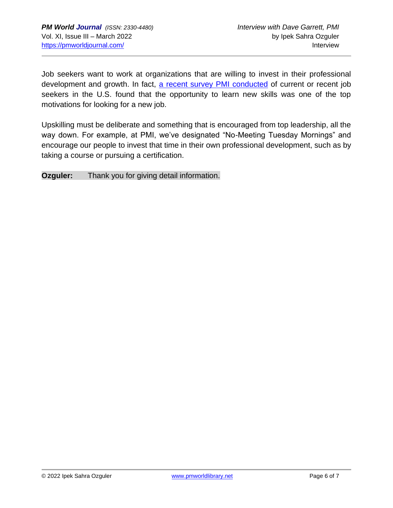Job seekers want to work at organizations that are willing to invest in their professional development and growth. In fact, [a recent survey PMI conducted](https://community.pmi.org/blog-post/70950/job-seekers-survey-reveals-the-hidden-motivations-behind-the-great-resignation#_=_) of current or recent job seekers in the U.S. found that the opportunity to learn new skills was one of the top motivations for looking for a new job.

Upskilling must be deliberate and something that is encouraged from top leadership, all the way down. For example, at PMI, we've designated "No-Meeting Tuesday Mornings" and encourage our people to invest that time in their own professional development, such as by taking a course or pursuing a certification.

**Ozguler:** Thank you for giving detail information.